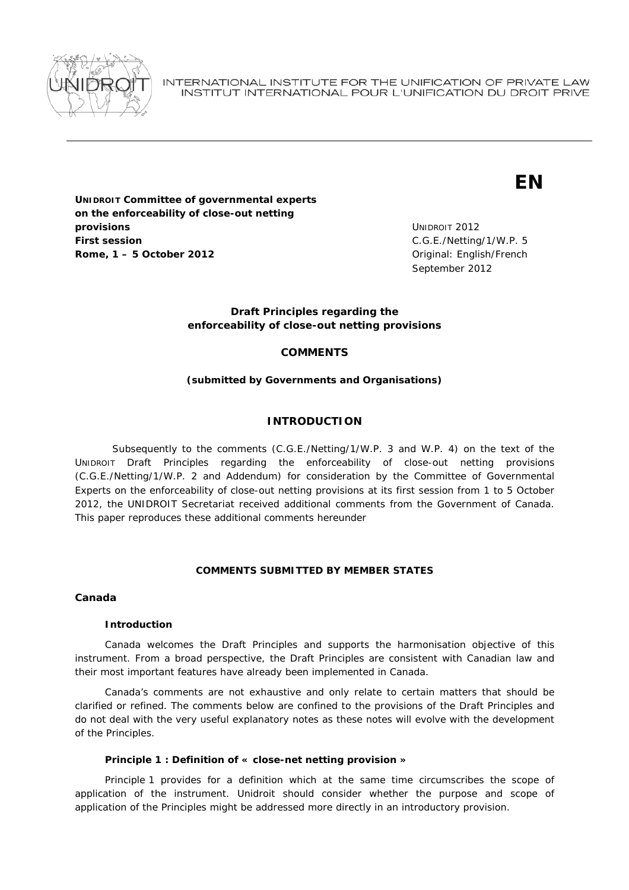

INTERNATIONAL INSTITUTE FOR THE UNIFICATION OF PRIVATE LAW INSTITUT INTERNATIONAL POUR L'UNIFICATION DU DROIT PRIVE

# **EN**

**UNIDROIT Committee of governmental experts on the enforceability of close-out netting provisions First session Rome, 1 – 5 October 2012** *Comme 2012* **Comme 2012** *Comme 2012 Comme 2012 Comme 2012* **<b>***Comme 2012 Comme 2012 Comme 2012 Comme 2012 Comme 2012 Comme 2012 Comme 2012 Comme 2012 C* 

UNIDROIT 2012 C.G.E./Netting/1/W.P. 5 September 2012

## **Draft Principles regarding the enforceability of close-out netting provisions**

# **COMMENTS**

## *(submitted by Governments and Organisations)*

## **INTRODUCTION**

 Subsequently to the comments (C.G.E./Netting/1/W.P. 3 and W.P. 4) on the text of the UNIDROIT Draft Principles regarding the enforceability of close-out netting provisions (C.G.E./Netting/1/W.P. 2 and Addendum) for consideration by the Committee of Governmental Experts on the enforceability of close-out netting provisions at its first session from 1 to 5 October 2012, the UNIDROIT Secretariat received additional comments from the Government of Canada. This paper reproduces these additional comments hereunder

## **COMMENTS SUBMITTED BY MEMBER STATES**

*Canada* 

## **Introduction**

Canada welcomes the Draft Principles and supports the harmonisation objective of this instrument. From a broad perspective, the Draft Principles are consistent with Canadian law and their most important features have already been implemented in Canada.

Canada's comments are not exhaustive and only relate to certain matters that should be clarified or refined. The comments below are confined to the provisions of the Draft Principles and do not deal with the very useful explanatory notes as these notes will evolve with the development of the Principles.

## **Principle 1 : Definition of « close-net netting provision »**

Principle 1 provides for a definition which at the same time circumscribes the scope of application of the instrument. Unidroit should consider whether the purpose and scope of application of the Principles might be addressed more directly in an introductory provision.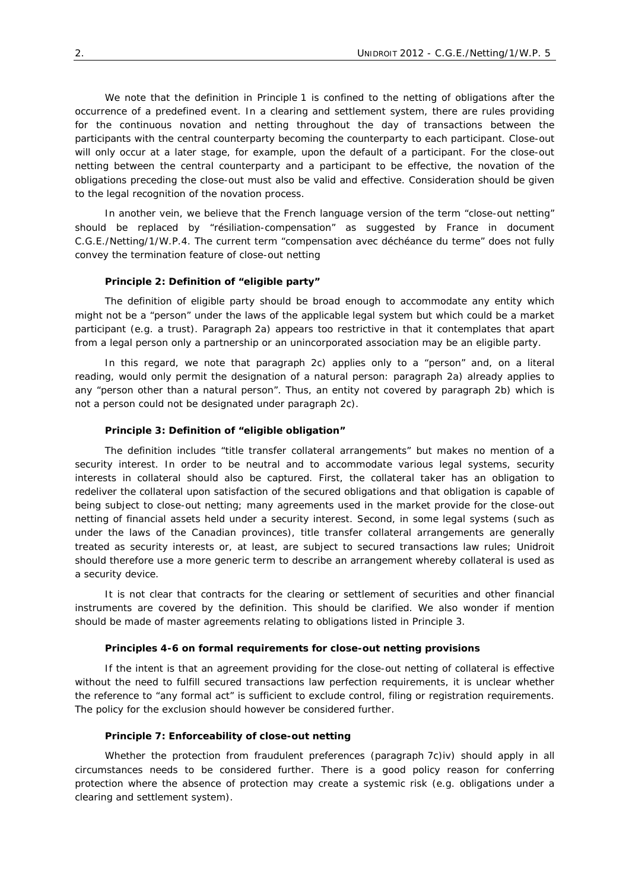We note that the definition in Principle 1 is confined to the netting of obligations after the occurrence of a predefined event. In a clearing and settlement system, there are rules providing for the continuous novation and netting throughout the day of transactions between the participants with the central counterparty becoming the counterparty to each participant. Close-out will only occur at a later stage, for example, upon the default of a participant. For the close-out netting between the central counterparty and a participant to be effective, the novation of the obligations preceding the close-out must also be valid and effective. Consideration should be given to the legal recognition of the novation process.

In another vein, we believe that the French language version of the term "close-out netting" should be replaced by "résiliation-compensation" as suggested by France in document C.G.E./Netting/1/W.P.4. The current term "compensation avec déchéance du terme" does not fully convey the termination feature of close-out netting

#### **Principle 2: Definition of "eligible party"**

The definition of eligible party should be broad enough to accommodate any entity which might not be a "person" under the laws of the applicable legal system but which could be a market participant (e.g. a trust). Paragraph 2a) appears too restrictive in that it contemplates that apart from a legal person only a partnership or an unincorporated association may be an eligible party.

In this regard, we note that paragraph 2c) applies only to a "person" and, on a literal reading, would only permit the designation of a natural person: paragraph 2a) already applies to any "person other than a natural person". Thus, an entity not covered by paragraph 2b) which is not a person could not be designated under paragraph 2c).

### **Principle 3: Definition of "eligible obligation"**

The definition includes "title transfer collateral arrangements" but makes no mention of a security interest. In order to be neutral and to accommodate various legal systems, security interests in collateral should also be captured. First, the collateral taker has an obligation to redeliver the collateral upon satisfaction of the secured obligations and that obligation is capable of being subject to close-out netting; many agreements used in the market provide for the close-out netting of financial assets held under a security interest. Second, in some legal systems (such as under the laws of the Canadian provinces), title transfer collateral arrangements are generally treated as security interests or, at least, are subject to secured transactions law rules; Unidroit should therefore use a more generic term to describe an arrangement whereby collateral is used as a security device.

It is not clear that contracts for the clearing or settlement of securities and other financial instruments are covered by the definition. This should be clarified. We also wonder if mention should be made of master agreements relating to obligations listed in Principle 3.

#### **Principles 4-6 on formal requirements for close-out netting provisions**

If the intent is that an agreement providing for the close-out netting of collateral is effective without the need to fulfill secured transactions law perfection requirements, it is unclear whether the reference to "any formal act" is sufficient to exclude control, filing or registration requirements. The policy for the exclusion should however be considered further.

### **Principle 7: Enforceability of close-out netting**

Whether the protection from fraudulent preferences (paragraph 7c)iv) should apply in all circumstances needs to be considered further. There is a good policy reason for conferring protection where the absence of protection may create a systemic risk (e.g. obligations under a clearing and settlement system).